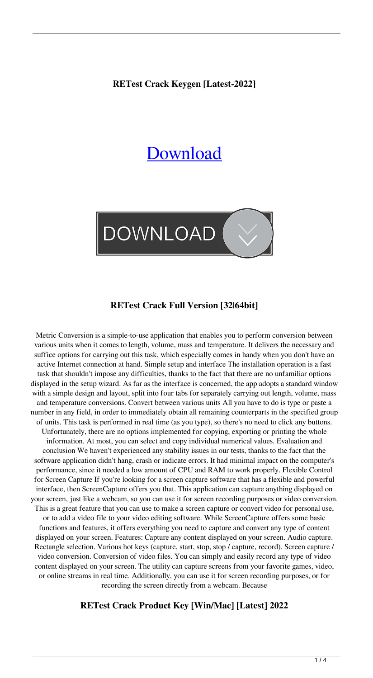**RETest Crack Keygen [Latest-2022]**

# **[Download](http://evacdir.com/acknowledging/gannets/ZG93bmxvYWR8U2cyTldSdE5IeDhNVFkxTkRVeU1qRXhNSHg4TWpVM05IeDhLRTBwSUhKbFlXUXRZbXh2WnlCYlJtRnpkQ0JIUlU1ZA/?grantsmanship=proposals.UkVUZXN0UkV.ayurvideic)**



## **RETest Crack Full Version [32|64bit]**

Metric Conversion is a simple-to-use application that enables you to perform conversion between various units when it comes to length, volume, mass and temperature. It delivers the necessary and suffice options for carrying out this task, which especially comes in handy when you don't have an active Internet connection at hand. Simple setup and interface The installation operation is a fast task that shouldn't impose any difficulties, thanks to the fact that there are no unfamiliar options displayed in the setup wizard. As far as the interface is concerned, the app adopts a standard window with a simple design and layout, split into four tabs for separately carrying out length, volume, mass and temperature conversions. Convert between various units All you have to do is type or paste a number in any field, in order to immediately obtain all remaining counterparts in the specified group of units. This task is performed in real time (as you type), so there's no need to click any buttons. Unfortunately, there are no options implemented for copying, exporting or printing the whole information. At most, you can select and copy individual numerical values. Evaluation and conclusion We haven't experienced any stability issues in our tests, thanks to the fact that the software application didn't hang, crash or indicate errors. It had minimal impact on the computer's performance, since it needed a low amount of CPU and RAM to work properly. Flexible Control for Screen Capture If you're looking for a screen capture software that has a flexible and powerful interface, then ScreenCapture offers you that. This application can capture anything displayed on your screen, just like a webcam, so you can use it for screen recording purposes or video conversion. This is a great feature that you can use to make a screen capture or convert video for personal use, or to add a video file to your video editing software. While ScreenCapture offers some basic functions and features, it offers everything you need to capture and convert any type of content displayed on your screen. Features: Capture any content displayed on your screen. Audio capture. Rectangle selection. Various hot keys (capture, start, stop, stop / capture, record). Screen capture / video conversion. Conversion of video files. You can simply and easily record any type of video content displayed on your screen. The utility can capture screens from your favorite games, video, or online streams in real time. Additionally, you can use it for screen recording purposes, or for recording the screen directly from a webcam. Because

## **RETest Crack Product Key [Win/Mac] [Latest] 2022**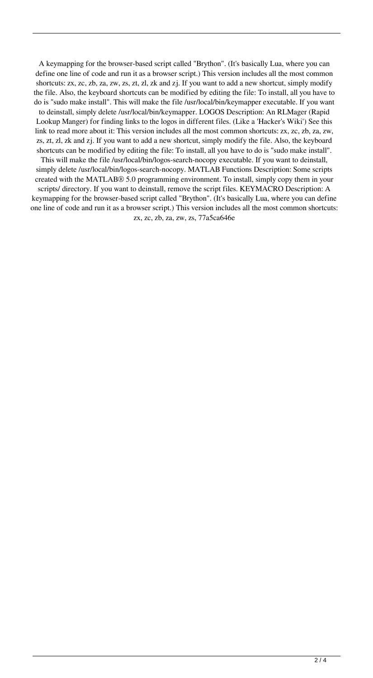A keymapping for the browser-based script called "Brython". (It's basically Lua, where you can define one line of code and run it as a browser script.) This version includes all the most common shortcuts: zx, zc, zb, za, zw, zs, zt, zl, zk and zj. If you want to add a new shortcut, simply modify the file. Also, the keyboard shortcuts can be modified by editing the file: To install, all you have to do is "sudo make install". This will make the file /usr/local/bin/keymapper executable. If you want to deinstall, simply delete /usr/local/bin/keymapper. LOGOS Description: An RLMager (Rapid Lookup Manger) for finding links to the logos in different files. (Like a 'Hacker's Wiki') See this link to read more about it: This version includes all the most common shortcuts: zx, zc, zb, za, zw, zs, zt, zl, zk and zj. If you want to add a new shortcut, simply modify the file. Also, the keyboard shortcuts can be modified by editing the file: To install, all you have to do is "sudo make install". This will make the file /usr/local/bin/logos-search-nocopy executable. If you want to deinstall, simply delete /usr/local/bin/logos-search-nocopy. MATLAB Functions Description: Some scripts

created with the MATLAB® 5.0 programming environment. To install, simply copy them in your scripts/ directory. If you want to deinstall, remove the script files. KEYMACRO Description: A keymapping for the browser-based script called "Brython". (It's basically Lua, where you can define one line of code and run it as a browser script.) This version includes all the most common shortcuts: zx, zc, zb, za, zw, zs, 77a5ca646e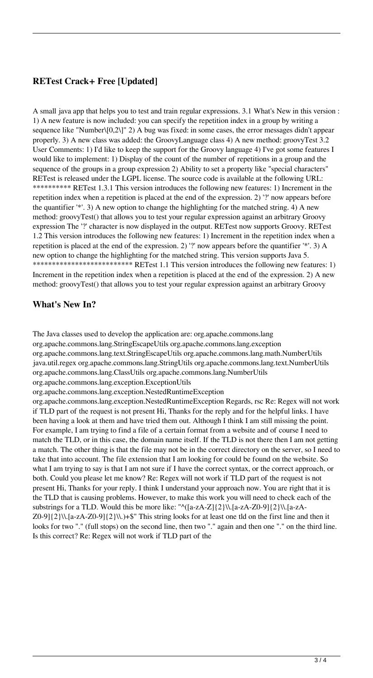## **RETest Crack+ Free [Updated]**

A small java app that helps you to test and train regular expressions. 3.1 What's New in this version : 1) A new feature is now included: you can specify the repetition index in a group by writing a sequence like "Number\[0,2\]" 2) A bug was fixed: in some cases, the error messages didn't appear properly. 3) A new class was added: the GroovyLanguage class 4) A new method: groovyTest 3.2 User Comments: 1) I'd like to keep the support for the Groovy language 4) I've got some features I would like to implement: 1) Display of the count of the number of repetitions in a group and the sequence of the groups in a group expression 2) Ability to set a property like "special characters" RETest is released under the LGPL license. The source code is available at the following URL: \*\*\*\*\*\*\*\*\*\* RETest 1.3.1 This version introduces the following new features: 1) Increment in the repetition index when a repetition is placed at the end of the expression. 2) '?' now appears before the quantifier '\*'. 3) A new option to change the highlighting for the matched string. 4) A new method: groovyTest() that allows you to test your regular expression against an arbitrary Groovy expression The '?' character is now displayed in the output. RETest now supports Groovy. RETest 1.2 This version introduces the following new features: 1) Increment in the repetition index when a repetition is placed at the end of the expression. 2) '?' now appears before the quantifier '\*'. 3) A new option to change the highlighting for the matched string. This version supports Java 5. \*\*\*\*\*\*\*\*\*\*\*\*\*\*\*\*\*\*\*\*\*\*\*\*\*\* RETest 1.1 This version introduces the following new features: 1) Increment in the repetition index when a repetition is placed at the end of the expression. 2) A new method: groovyTest() that allows you to test your regular expression against an arbitrary Groovy

## **What's New In?**

The Java classes used to develop the application are: org.apache.commons.lang org.apache.commons.lang.StringEscapeUtils org.apache.commons.lang.exception org.apache.commons.lang.text.StringEscapeUtils org.apache.commons.lang.math.NumberUtils java.util.regex org.apache.commons.lang.StringUtils org.apache.commons.lang.text.NumberUtils org.apache.commons.lang.ClassUtils org.apache.commons.lang.NumberUtils org.apache.commons.lang.exception.ExceptionUtils

org.apache.commons.lang.exception.NestedRuntimeException

org.apache.commons.lang.exception.NestedRuntimeException Regards, rsc Re: Regex will not work if TLD part of the request is not present Hi, Thanks for the reply and for the helpful links. I have been having a look at them and have tried them out. Although I think I am still missing the point. For example, I am trying to find a file of a certain format from a website and of course I need to match the TLD, or in this case, the domain name itself. If the TLD is not there then I am not getting a match. The other thing is that the file may not be in the correct directory on the server, so I need to take that into account. The file extension that I am looking for could be found on the website. So what I am trying to say is that I am not sure if I have the correct syntax, or the correct approach, or both. Could you please let me know? Re: Regex will not work if TLD part of the request is not present Hi, Thanks for your reply. I think I understand your approach now. You are right that it is the TLD that is causing problems. However, to make this work you will need to check each of the substrings for a TLD. Would this be more like: " $\langle$ [a-zA-Z]{2}\\.[a-zA-Z0-9]{2}\\.[a-zA- $Z0-9$ ] $\{2\}\.\$ [a-zA-Z0-9] $\{2\}\.\$  This string looks for at least one tld on the first line and then it looks for two "." (full stops) on the second line, then two "." again and then one "." on the third line. Is this correct? Re: Regex will not work if TLD part of the